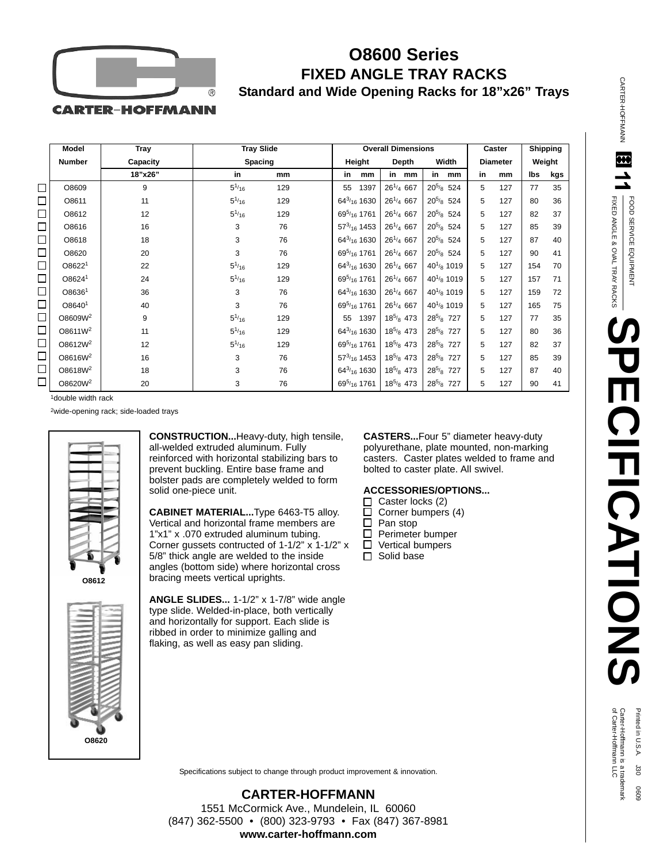

## **O8600 Series FIXED ANGLE TRAY RACKS Standard and Wide Opening Racks for 18"x26" Trays**

**CARTER-HOFFMANN** 

|        | <b>Model</b>        | <b>Tray</b> | <b>Tray Slide</b> |         |  |                                      | <b>Overall Dimensions</b> |                |              |                |                 |    | Caster          |     | Shipping |  |
|--------|---------------------|-------------|-------------------|---------|--|--------------------------------------|---------------------------|----------------|--------------|----------------|-----------------|----|-----------------|-----|----------|--|
|        | <b>Number</b>       | Capacity    |                   | Spacing |  |                                      | Height                    |                | <b>Depth</b> |                | Width           |    | <b>Diameter</b> |     | Weight   |  |
|        |                     | 18"x26"     | in                | mm      |  | in                                   | mm                        | in             | mm           | in             | mm              | in | mm              | lbs | kgs      |  |
| $\Box$ | O8609               | 9           | $5^{1/16}$        | 129     |  | 55                                   | 1397                      | $26^{1/4}$ 667 |              | $20^{5/8}$ 524 |                 | 5  | 127             | 77  | 35       |  |
| $\Box$ | O8611               | 11          | $5^{1/16}$        | 129     |  |                                      | $64^{3/16}$ 1630          | $26^{1/4}$ 667 |              | $20^{5/8}$ 524 |                 | 5  | 127             | 80  | 36       |  |
| $\Box$ | O8612               | 12          | $5^{1/16}$        | 129     |  |                                      | $69^{5/16}$ 1761          | $26^{1/4}$ 667 |              | $20^{5/8}$ 524 |                 | 5  | 127             | 82  | 37       |  |
| $\Box$ | O8616               | 16          | 3                 | 76      |  |                                      | $57^{3/16}$ 1453          | $26^{1/4}$ 667 |              | $20^{5/8}$ 524 |                 | 5  | 127             | 85  | 39       |  |
| $\Box$ | O8618               | 18          | 3                 | 76      |  |                                      | $64^{3/16}$ 1630          | $26^{1/4}$ 667 |              | $20^{5/8}$ 524 |                 | 5  | 127             | 87  | 40       |  |
| $\Box$ | O8620               | 20          | 3                 | 76      |  |                                      | $69^{5/16}$ 1761          | $26^{1/4}$ 667 |              | $20^{5/8}$ 524 |                 | 5  | 127             | 90  | 41       |  |
| $\Box$ | O8622 <sup>1</sup>  | 22          | $5^{1/16}$        | 129     |  |                                      | $64^{3/16}$ 1630          | $26^{1/4}$ 667 |              |                | $40^{1/8}$ 1019 | 5  | 127             | 154 | 70       |  |
| $\Box$ | O8624 <sup>1</sup>  | 24          | $5^{1/16}$        | 129     |  |                                      | $69^{5/16}$ 1761          | $26^{1/4}$ 667 |              |                | $40^{1/8}$ 1019 | 5  | 127             | 157 | 71       |  |
| $\Box$ | O8636 <sup>1</sup>  | 36          | 3                 | 76      |  |                                      | $64^{3/16}$ 1630          | $26^{1/4}$ 667 |              |                | $40^{1/8}$ 1019 | 5  | 127             | 159 | 72       |  |
| $\Box$ | O8640 <sup>1</sup>  | 40          | 3                 | 76      |  | 69 <sup>5</sup> / <sub>16</sub> 1761 |                           | $26^{1/4}$ 667 |              |                | $40^{1/8}$ 1019 | 5  | 127             | 165 | 75       |  |
| $\Box$ | O8609W <sup>2</sup> | 9           | $5^{1/16}$        | 129     |  |                                      | 55 1397                   | $18^{5/8}$ 473 |              | $28^{5/8}$ 727 |                 | 5  | 127             | 77  | 35       |  |
| $\Box$ | O8611W <sup>2</sup> | 11          | $5^{1/16}$        | 129     |  |                                      | $64^{3/16}$ 1630          | $18^{5/8}$ 473 |              | $28^{5/8}$ 727 |                 | 5  | 127             | 80  | 36       |  |
| $\Box$ | O8612W <sup>2</sup> | 12          | $5^{1/16}$        | 129     |  |                                      | $69^{5/16}$ 1761          | $18^{5/8}$ 473 |              | $28^{5/8}$     | 727             | 5  | 127             | 82  | 37       |  |
| $\Box$ | O8616W <sup>2</sup> | 16          | 3                 | 76      |  |                                      | $57^{3/16}$ 1453          | $18^{5/8}$ 473 |              | $28^{5/8}$ 727 |                 | 5  | 127             | 85  | 39       |  |
| $\Box$ | O8618W <sup>2</sup> | 18          | 3                 | 76      |  |                                      | $64^{3/16}$ 1630          | $18^{5/8}$ 473 |              | $28^{5/8}$ 727 |                 | 5  | 127             | 87  | 40       |  |
| $\Box$ | O8620W <sup>2</sup> | 20          | 3                 | 76      |  |                                      | $69^{5/16}$ 1761          | $18^{5/8}$ 473 |              | $28^{5/8}$ 727 |                 | 5  | 127             | 90  | 41       |  |

1double width rack

2wide-opening rack; side-loaded trays



**CONSTRUCTION...**Heavy-duty, high tensile, all-welded extruded aluminum. Fully reinforced with horizontal stabilizing bars to prevent buckling. Entire base frame and bolster pads are completely welded to form solid one-piece unit.

**CABINET MATERIAL...**Type 6463-T5 alloy. Vertical and horizontal frame members are 1"x1" x .070 extruded aluminum tubing. Corner gussets contructed of 1-1/2" x 1-1/2" x 5/8" thick angle are welded to the inside angles (bottom side) where horizontal cross bracing meets vertical uprights.

**ANGLE SLIDES...** 1-1/2" x 1-7/8" wide angle type slide. Welded-in-place, both vertically and horizontally for support. Each slide is ribbed in order to minimize galling and flaking, as well as easy pan sliding.

**CASTERS...**Four 5" diameter heavy-duty polyurethane, plate mounted, non-marking casters. Caster plates welded to frame and bolted to caster plate. All swivel.

## **ACCESSORIES/OPTIONS...**

- $\Box$  Caster locks (2)
- $\Box$ Corner bumpers (4)
- $\Box$ Pan stop
- □ Perimeter bumper
- Vertical bumpers  $\Box$
- $\Box$  Solid base

 $\overline{\mathbf{H}}$ FIXED ANGLE & OVALFOOD SERVICE EQUIPMENT FOOD SERVICE EQUIPMENT TRAY RACKS **SPECIFICATIONS PECIFICATIONS** 

CARTER-HOFFMANN

**CARTER-HOFLANN** 

Printed in U.S.A. 130 0609<br>Carter-Hoffmann is a trademark<br>of Carter-Hoffmann LLC

Specifications subject to change through product improvement & innovation.

**CARTER-HOFFMANN** 1551 McCormick Ave., Mundelein, IL 60060 (847) 362-5500 • (800) 323-9793 • Fax (847) 367-8981 **www.carter-hoffmann.com**